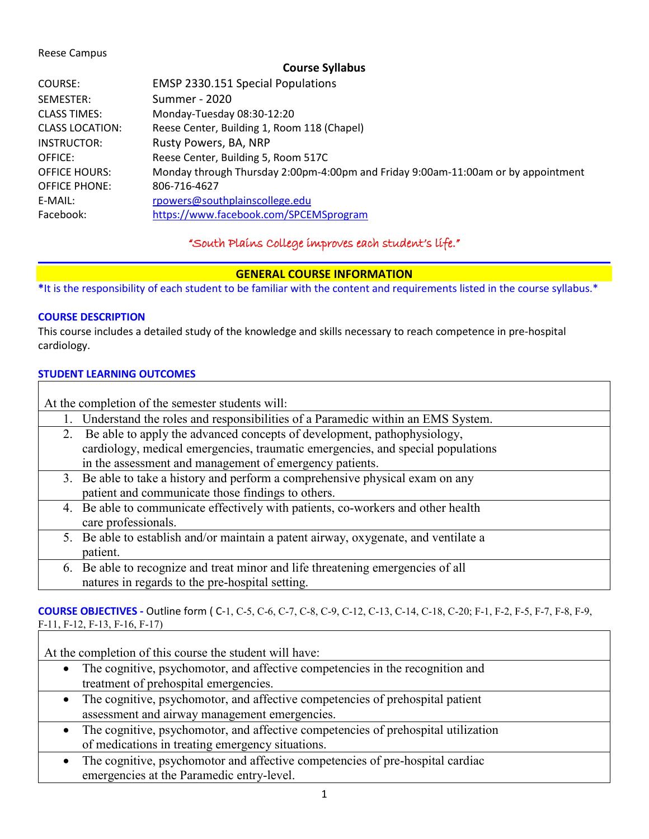### Reese Campus

### **Course Syllabus**

| COURSE:                | EMSP 2330.151 Special Populations                                                 |
|------------------------|-----------------------------------------------------------------------------------|
| SEMESTER:              | Summer - 2020                                                                     |
| <b>CLASS TIMES:</b>    | Monday-Tuesday 08:30-12:20                                                        |
| <b>CLASS LOCATION:</b> | Reese Center, Building 1, Room 118 (Chapel)                                       |
| INSTRUCTOR:            | Rusty Powers, BA, NRP                                                             |
| OFFICE:                | Reese Center, Building 5, Room 517C                                               |
| <b>OFFICE HOURS:</b>   | Monday through Thursday 2:00pm-4:00pm and Friday 9:00am-11:00am or by appointment |
| <b>OFFICE PHONE:</b>   | 806-716-4627                                                                      |
| E-MAIL:                | rpowers@southplainscollege.edu                                                    |
| Facebook:              | https://www.facebook.com/SPCEMSprogram                                            |

"South Plains College improves each student's life."

# **GENERAL COURSE INFORMATION**

**\***It is the responsibility of each student to be familiar with the content and requirements listed in the course syllabus.\*

### **COURSE DESCRIPTION**

This course includes a detailed study of the knowledge and skills necessary to reach competence in pre-hospital cardiology.

### **STUDENT LEARNING OUTCOMES**

| At the completion of the semester students will: |                                                                                     |  |  |
|--------------------------------------------------|-------------------------------------------------------------------------------------|--|--|
|                                                  |                                                                                     |  |  |
|                                                  | Understand the roles and responsibilities of a Paramedic within an EMS System.      |  |  |
| 2.                                               | Be able to apply the advanced concepts of development, pathophysiology,             |  |  |
|                                                  | cardiology, medical emergencies, traumatic emergencies, and special populations     |  |  |
|                                                  | in the assessment and management of emergency patients.                             |  |  |
|                                                  | 3. Be able to take a history and perform a comprehensive physical exam on any       |  |  |
|                                                  | patient and communicate those findings to others.                                   |  |  |
|                                                  | 4. Be able to communicate effectively with patients, co-workers and other health    |  |  |
|                                                  | care professionals.                                                                 |  |  |
|                                                  | 5. Be able to establish and/or maintain a patent airway, oxygenate, and ventilate a |  |  |
|                                                  | patient.                                                                            |  |  |
|                                                  | 6. Be able to recognize and treat minor and life threatening emergencies of all     |  |  |
|                                                  | natures in regards to the pre-hospital setting.                                     |  |  |

**COURSE OBJECTIVES -** Outline form ( C-1, C-5, C-6, C-7, C-8, C-9, C-12, C-13, C-14, C-18, C-20; F-1, F-2, F-5, F-7, F-8, F-9, F-11, F-12, F-13, F-16, F-17)

At the completion of this course the student will have:

- The cognitive, psychomotor, and affective competencies in the recognition and treatment of prehospital emergencies.
- The cognitive, psychomotor, and affective competencies of prehospital patient assessment and airway management emergencies.
- The cognitive, psychomotor, and affective competencies of prehospital utilization of medications in treating emergency situations.
- The cognitive, psychomotor and affective competencies of pre-hospital cardiac emergencies at the Paramedic entry-level.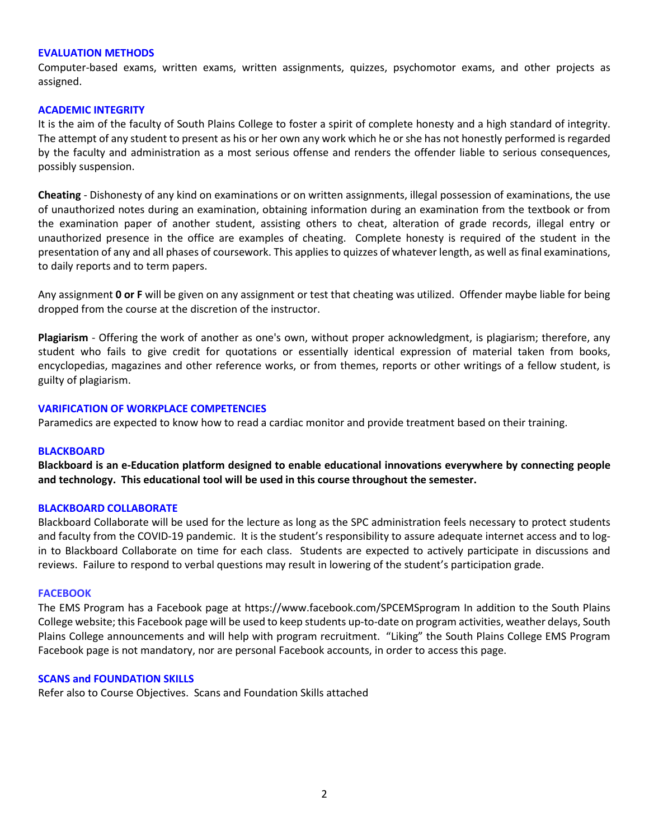#### **EVALUATION METHODS**

Computer-based exams, written exams, written assignments, quizzes, psychomotor exams, and other projects as assigned.

#### **ACADEMIC INTEGRITY**

It is the aim of the faculty of South Plains College to foster a spirit of complete honesty and a high standard of integrity. The attempt of any student to present as his or her own any work which he or she has not honestly performed is regarded by the faculty and administration as a most serious offense and renders the offender liable to serious consequences, possibly suspension.

**Cheating** - Dishonesty of any kind on examinations or on written assignments, illegal possession of examinations, the use of unauthorized notes during an examination, obtaining information during an examination from the textbook or from the examination paper of another student, assisting others to cheat, alteration of grade records, illegal entry or unauthorized presence in the office are examples of cheating. Complete honesty is required of the student in the presentation of any and all phases of coursework. This applies to quizzes of whatever length, as well as final examinations, to daily reports and to term papers.

Any assignment **0 or F** will be given on any assignment or test that cheating was utilized. Offender maybe liable for being dropped from the course at the discretion of the instructor.

**Plagiarism** - Offering the work of another as one's own, without proper acknowledgment, is plagiarism; therefore, any student who fails to give credit for quotations or essentially identical expression of material taken from books, encyclopedias, magazines and other reference works, or from themes, reports or other writings of a fellow student, is guilty of plagiarism.

#### **VARIFICATION OF WORKPLACE COMPETENCIES**

Paramedics are expected to know how to read a cardiac monitor and provide treatment based on their training.

#### **BLACKBOARD**

**Blackboard is an e-Education platform designed to enable educational innovations everywhere by connecting people and technology. This educational tool will be used in this course throughout the semester.** 

#### **BLACKBOARD COLLABORATE**

Blackboard Collaborate will be used for the lecture as long as the SPC administration feels necessary to protect students and faculty from the COVID-19 pandemic. It is the student's responsibility to assure adequate internet access and to login to Blackboard Collaborate on time for each class. Students are expected to actively participate in discussions and reviews. Failure to respond to verbal questions may result in lowering of the student's participation grade.

#### **FACEBOOK**

The EMS Program has a Facebook page at https://www.facebook.com/SPCEMSprogram In addition to the South Plains College website; this Facebook page will be used to keep students up-to-date on program activities, weather delays, South Plains College announcements and will help with program recruitment. "Liking" the South Plains College EMS Program Facebook page is not mandatory, nor are personal Facebook accounts, in order to access this page.

#### **SCANS and FOUNDATION SKILLS**

Refer also to Course Objectives. Scans and Foundation Skills attached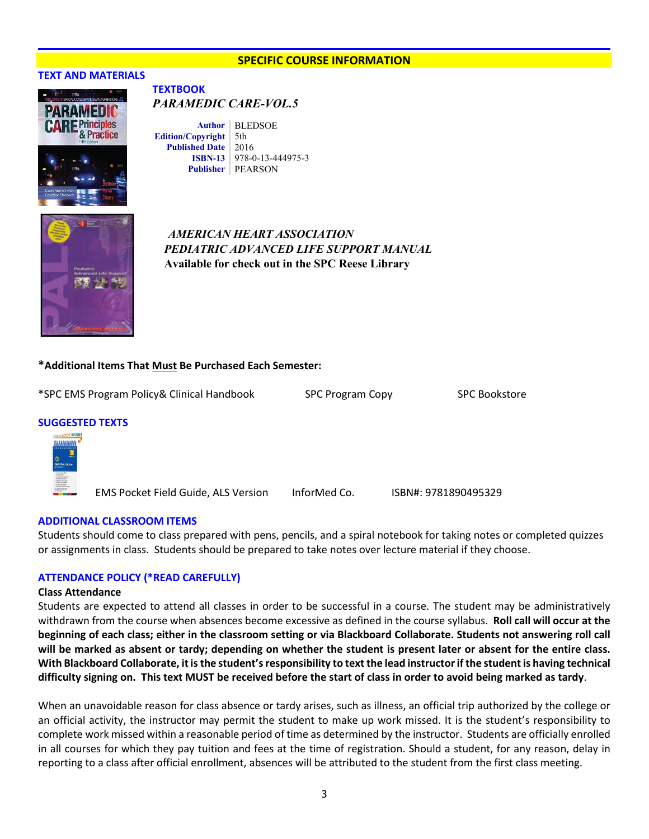#### **SPECIFIC COURSE INFORMATION**

#### **TEXT AND MATERIALS**



#### **TEXTBOOK**  *PARAMEDIC CARE-VOL.5*

Author | BLEDSOE **Edition/Copyright** 5th **Published Date** 2016 **ISBN-13** 978-0-13-444975-3 **Publisher** PEARSON



# **B** *AMERICAN HEART ASSOCIATION PEDIATRIC ADVANCED LIFE SUPPORT MANUAL*  **Available for check out in the SPC Reese Library**

#### **\*Additional Items That Must Be Purchased Each Semester:**

\*SPC EMS Program Policy& Clinical Handbook SPC Program Copy SPC Bookstore

#### **SUGGESTED TEXTS**



EMS Pocket Field Guide, ALS Version InforMed Co. ISBN#: 9781890495329

#### **ADDITIONAL CLASSROOM ITEMS**

Students should come to class prepared with pens, pencils, and a spiral notebook for taking notes or completed quizzes or assignments in class. Students should be prepared to take notes over lecture material if they choose.

#### **ATTENDANCE POLICY (\*READ CAREFULLY)**

#### **Class Attendance**

Students are expected to attend all classes in order to be successful in a course. The student may be administratively withdrawn from the course when absences become excessive as defined in the course syllabus. **Roll call will occur at the beginning of each class; either in the classroom setting or via Blackboard Collaborate. Students not answering roll call will be marked as absent or tardy; depending on whether the student is present later or absent for the entire class. With Blackboard Collaborate, it is the student's responsibility to text the lead instructor if the student is having technical difficulty signing on. This text MUST be received before the start of class in order to avoid being marked as tardy**.

When an unavoidable reason for class absence or tardy arises, such as illness, an official trip authorized by the college or an official activity, the instructor may permit the student to make up work missed. It is the student's responsibility to complete work missed within a reasonable period of time as determined by the instructor. Students are officially enrolled in all courses for which they pay tuition and fees at the time of registration. Should a student, for any reason, delay in reporting to a class after official enrollment, absences will be attributed to the student from the first class meeting.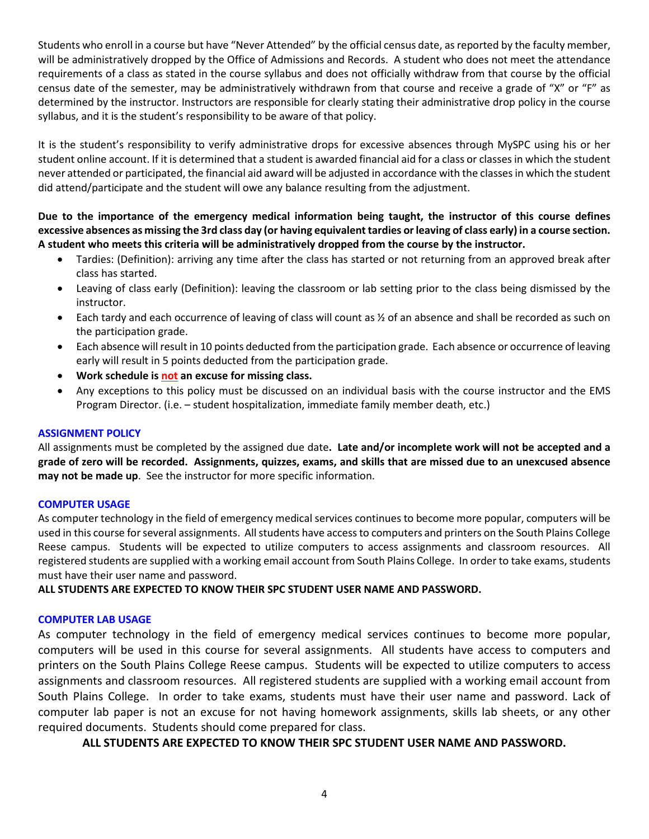Students who enroll in a course but have "Never Attended" by the official census date, as reported by the faculty member, will be administratively dropped by the Office of Admissions and Records. A student who does not meet the attendance requirements of a class as stated in the course syllabus and does not officially withdraw from that course by the official census date of the semester, may be administratively withdrawn from that course and receive a grade of "X" or "F" as determined by the instructor. Instructors are responsible for clearly stating their administrative drop policy in the course syllabus, and it is the student's responsibility to be aware of that policy.

It is the student's responsibility to verify administrative drops for excessive absences through MySPC using his or her student online account. If it is determined that a student is awarded financial aid for a class or classes in which the student never attended or participated, the financial aid award will be adjusted in accordance with the classes in which the student did attend/participate and the student will owe any balance resulting from the adjustment.

**Due to the importance of the emergency medical information being taught, the instructor of this course defines excessive absences as missing the 3rd class day (or having equivalent tardies or leaving of class early) in a course section. A student who meets this criteria will be administratively dropped from the course by the instructor.** 

- Tardies: (Definition): arriving any time after the class has started or not returning from an approved break after class has started.
- Leaving of class early (Definition): leaving the classroom or lab setting prior to the class being dismissed by the instructor.
- Each tardy and each occurrence of leaving of class will count as  $\frac{1}{2}$  of an absence and shall be recorded as such on the participation grade.
- Each absence will result in 10 points deducted from the participation grade. Each absence or occurrence of leaving early will result in 5 points deducted from the participation grade.
- **Work schedule is not an excuse for missing class.**
- Any exceptions to this policy must be discussed on an individual basis with the course instructor and the EMS Program Director. (i.e. – student hospitalization, immediate family member death, etc.)

### **ASSIGNMENT POLICY**

All assignments must be completed by the assigned due date**. Late and/or incomplete work will not be accepted and a grade of zero will be recorded. Assignments, quizzes, exams, and skills that are missed due to an unexcused absence may not be made up**. See the instructor for more specific information.

### **COMPUTER USAGE**

As computer technology in the field of emergency medical services continues to become more popular, computers will be used in this course for several assignments. All students have access to computers and printers on the South Plains College Reese campus. Students will be expected to utilize computers to access assignments and classroom resources. All registered students are supplied with a working email account from South Plains College. In order to take exams, students must have their user name and password.

**ALL STUDENTS ARE EXPECTED TO KNOW THEIR SPC STUDENT USER NAME AND PASSWORD.**

### **COMPUTER LAB USAGE**

As computer technology in the field of emergency medical services continues to become more popular, computers will be used in this course for several assignments. All students have access to computers and printers on the South Plains College Reese campus. Students will be expected to utilize computers to access assignments and classroom resources. All registered students are supplied with a working email account from South Plains College. In order to take exams, students must have their user name and password. Lack of computer lab paper is not an excuse for not having homework assignments, skills lab sheets, or any other required documents. Students should come prepared for class.

**ALL STUDENTS ARE EXPECTED TO KNOW THEIR SPC STUDENT USER NAME AND PASSWORD.**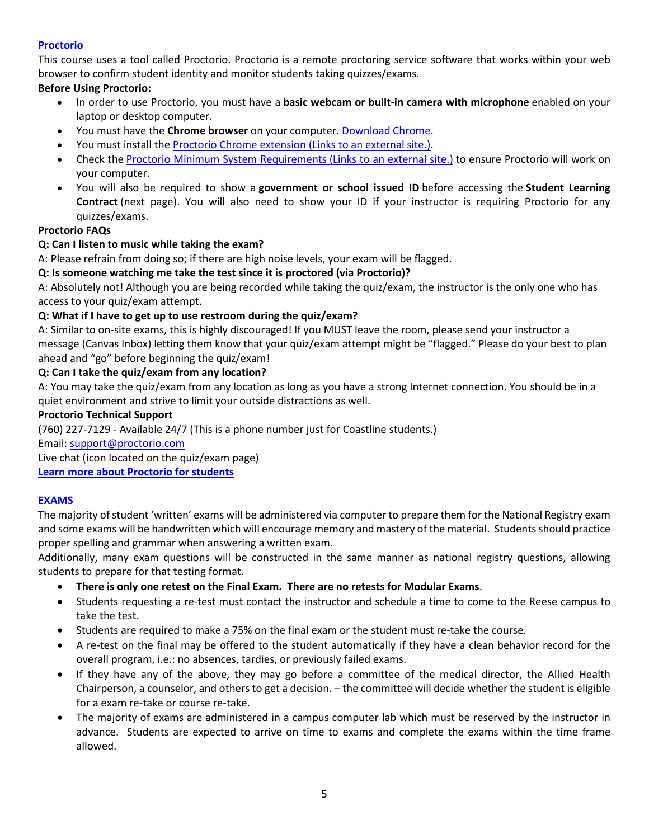# **Proctorio**

This course uses a tool called Proctorio. Proctorio is a remote proctoring service software that works within your web browser to confirm student identity and monitor students taking quizzes/exams.

# **Before Using Proctorio:**

- In order to use Proctorio, you must have a **basic webcam or built-in camera with microphone** enabled on your laptop or desktop computer.
- You must have the **Chrome browser** on your computer. [Download Chrome.](https://www.google.com/chrome/browser/)
- You must install the [Proctorio Chrome extension](https://getproctorio.com/) (Links to an external site.).
- Check the [Proctorio Minimum System Requirements](https://proctorio.com/system-requirements) (Links to an external site.) to ensure Proctorio will work on your computer.
- You will also be required to show a **government or school issued ID** before accessing the **Student Learning Contract** (next page). You will also need to show your ID if your instructor is requiring Proctorio for any quizzes/exams.

# **Proctorio FAQs**

# **Q: Can I listen to music while taking the exam?**

A: Please refrain from doing so; if there are high noise levels, your exam will be flagged.

# **Q: Is someone watching me take the test since it is proctored (via Proctorio)?**

A: Absolutely not! Although you are being recorded while taking the quiz/exam, the instructor is the only one who has access to your quiz/exam attempt.

# **Q: What if I have to get up to use restroom during the quiz/exam?**

A: Similar to on-site exams, this is highly discouraged! If you MUST leave the room, please send your instructor a message (Canvas Inbox) letting them know that your quiz/exam attempt might be "flagged." Please do your best to plan ahead and "go" before beginning the quiz/exam!

# **Q: Can I take the quiz/exam from any location?**

A: You may take the quiz/exam from any location as long as you have a strong Internet connection. You should be in a quiet environment and strive to limit your outside distractions as well.

### **Proctorio Technical Support**

(760) 227-7129 - Available 24/7 (This is a phone number just for Coastline students.)

### Email: [support@proctorio.com](mailto:support@proctorio.com)

Live chat (icon located on the quiz/exam page)

**[Learn more about Proctorio for students](https://proctorio.com/students)**

# **EXAMS**

The majority of student 'written' exams will be administered via computer to prepare them for the National Registry exam and some exams will be handwritten which will encourage memory and mastery of the material. Students should practice proper spelling and grammar when answering a written exam.

Additionally, many exam questions will be constructed in the same manner as national registry questions, allowing students to prepare for that testing format.

- **There is only one retest on the Final Exam. There are no retests for Modular Exams**.
- Students requesting a re-test must contact the instructor and schedule a time to come to the Reese campus to take the test.
- Students are required to make a 75% on the final exam or the student must re-take the course.
- A re-test on the final may be offered to the student automatically if they have a clean behavior record for the overall program, i.e.: no absences, tardies, or previously failed exams.
- If they have any of the above, they may go before a committee of the medical director, the Allied Health Chairperson, a counselor, and others to get a decision. – the committee will decide whether the student is eligible for a exam re-take or course re-take.
- The majority of exams are administered in a campus computer lab which must be reserved by the instructor in advance. Students are expected to arrive on time to exams and complete the exams within the time frame allowed.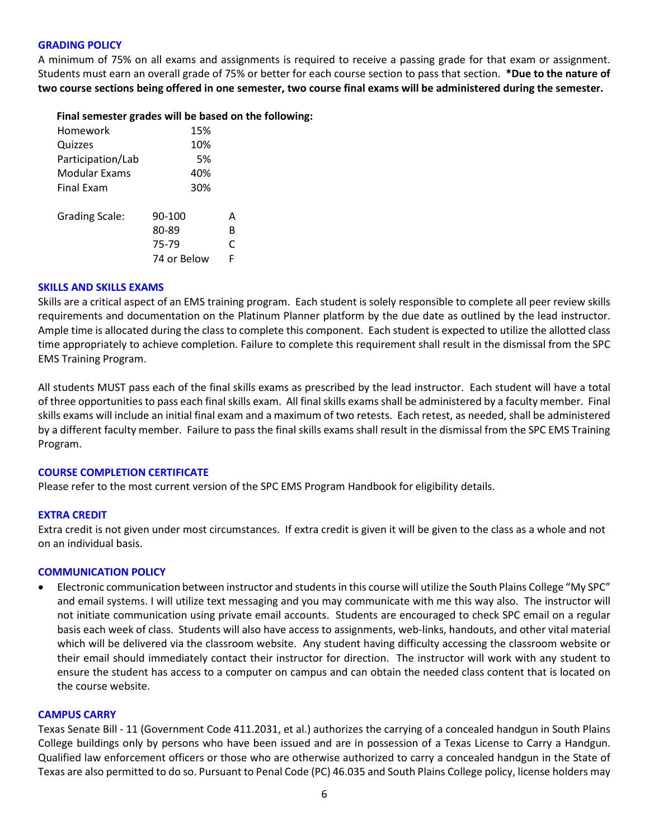#### **GRADING POLICY**

A minimum of 75% on all exams and assignments is required to receive a passing grade for that exam or assignment. Students must earn an overall grade of 75% or better for each course section to pass that section. **\*Due to the nature of two course sections being offered in one semester, two course final exams will be administered during the semester.**

#### **Final semester grades will be based on the following:**

| Homework              | 15%         |   |
|-----------------------|-------------|---|
| Quizzes               | 10%         |   |
| Participation/Lab     | 5%          |   |
| Modular Exams         | 40%         |   |
| <b>Final Exam</b>     | 30%         |   |
| <b>Grading Scale:</b> | 90-100      | А |
|                       | 80-89       | в |
|                       | 75-79       | C |
|                       | 74 or Below | F |

#### **SKILLS AND SKILLS EXAMS**

Skills are a critical aspect of an EMS training program. Each student is solely responsible to complete all peer review skills requirements and documentation on the Platinum Planner platform by the due date as outlined by the lead instructor. Ample time is allocated during the class to complete this component. Each student is expected to utilize the allotted class time appropriately to achieve completion. Failure to complete this requirement shall result in the dismissal from the SPC EMS Training Program.

All students MUST pass each of the final skills exams as prescribed by the lead instructor. Each student will have a total of three opportunities to pass each final skills exam. All final skills exams shall be administered by a faculty member. Final skills exams will include an initial final exam and a maximum of two retests. Each retest, as needed, shall be administered by a different faculty member. Failure to pass the final skills exams shall result in the dismissal from the SPC EMS Training Program.

### **COURSE COMPLETION CERTIFICATE**

Please refer to the most current version of the SPC EMS Program Handbook for eligibility details.

### **EXTRA CREDIT**

Extra credit is not given under most circumstances. If extra credit is given it will be given to the class as a whole and not on an individual basis.

### **COMMUNICATION POLICY**

• Electronic communication between instructor and students in this course will utilize the South Plains College "My SPC" and email systems. I will utilize text messaging and you may communicate with me this way also. The instructor will not initiate communication using private email accounts. Students are encouraged to check SPC email on a regular basis each week of class. Students will also have access to assignments, web-links, handouts, and other vital material which will be delivered via the classroom website. Any student having difficulty accessing the classroom website or their email should immediately contact their instructor for direction. The instructor will work with any student to ensure the student has access to a computer on campus and can obtain the needed class content that is located on the course website.

#### **CAMPUS CARRY**

Texas Senate Bill - 11 (Government Code 411.2031, et al.) authorizes the carrying of a concealed handgun in South Plains College buildings only by persons who have been issued and are in possession of a Texas License to Carry a Handgun. Qualified law enforcement officers or those who are otherwise authorized to carry a concealed handgun in the State of Texas are also permitted to do so. Pursuant to Penal Code (PC) 46.035 and South Plains College policy, license holders may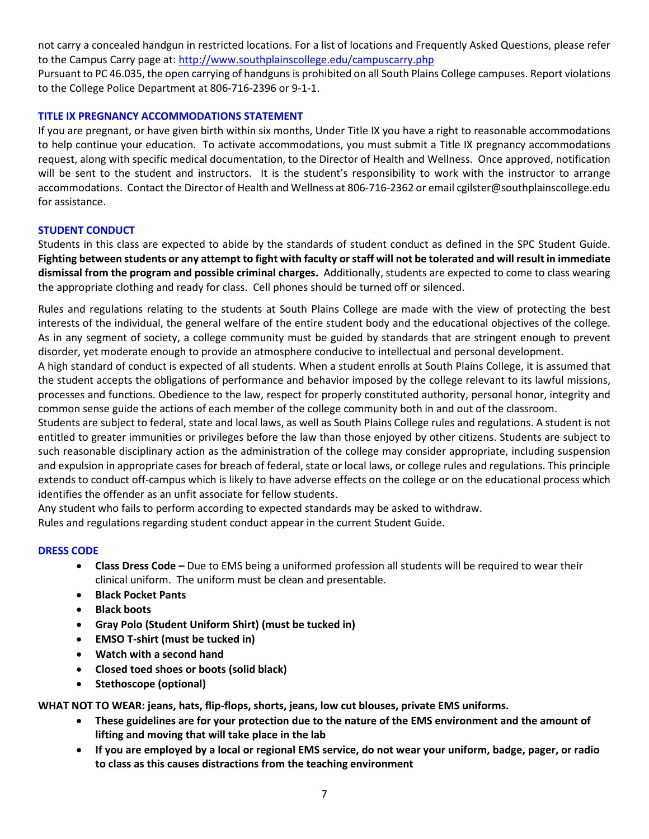not carry a concealed handgun in restricted locations. For a list of locations and Frequently Asked Questions, please refer to the Campus Carry page at: <http://www.southplainscollege.edu/campuscarry.php>

Pursuant to PC 46.035, the open carrying of handguns is prohibited on all South Plains College campuses. Report violations to the College Police Department at 806-716-2396 or 9-1-1.

### **TITLE IX PREGNANCY ACCOMMODATIONS STATEMENT**

If you are pregnant, or have given birth within six months, Under Title IX you have a right to reasonable accommodations to help continue your education. To activate accommodations, you must submit a Title IX pregnancy accommodations request, along with specific medical documentation, to the Director of Health and Wellness. Once approved, notification will be sent to the student and instructors. It is the student's responsibility to work with the instructor to arrange accommodations. Contact the Director of Health and Wellness at 806-716-2362 or email cgilster@southplainscollege.edu for assistance.

### **STUDENT CONDUCT**

Students in this class are expected to abide by the standards of student conduct as defined in the SPC Student Guide. **Fighting between students or any attempt to fight with faculty or staff will not be tolerated and will result in immediate dismissal from the program and possible criminal charges.** Additionally, students are expected to come to class wearing the appropriate clothing and ready for class. Cell phones should be turned off or silenced.

Rules and regulations relating to the students at South Plains College are made with the view of protecting the best interests of the individual, the general welfare of the entire student body and the educational objectives of the college. As in any segment of society, a college community must be guided by standards that are stringent enough to prevent disorder, yet moderate enough to provide an atmosphere conducive to intellectual and personal development.

A high standard of conduct is expected of all students. When a student enrolls at South Plains College, it is assumed that the student accepts the obligations of performance and behavior imposed by the college relevant to its lawful missions, processes and functions. Obedience to the law, respect for properly constituted authority, personal honor, integrity and common sense guide the actions of each member of the college community both in and out of the classroom.

Students are subject to federal, state and local laws, as well as South Plains College rules and regulations. A student is not entitled to greater immunities or privileges before the law than those enjoyed by other citizens. Students are subject to such reasonable disciplinary action as the administration of the college may consider appropriate, including suspension and expulsion in appropriate cases for breach of federal, state or local laws, or college rules and regulations. This principle extends to conduct off-campus which is likely to have adverse effects on the college or on the educational process which identifies the offender as an unfit associate for fellow students.

Any student who fails to perform according to expected standards may be asked to withdraw. Rules and regulations regarding student conduct appear in the current Student Guide.

### **DRESS CODE**

- **Class Dress Code –** Due to EMS being a uniformed profession all students will be required to wear their clinical uniform. The uniform must be clean and presentable.
- **Black Pocket Pants**
- **Black boots**
- **Gray Polo (Student Uniform Shirt) (must be tucked in)**
- **EMSO T-shirt (must be tucked in)**
- **Watch with a second hand**
- **Closed toed shoes or boots (solid black)**
- **Stethoscope (optional)**

**WHAT NOT TO WEAR: jeans, hats, flip-flops, shorts, jeans, low cut blouses, private EMS uniforms.**

- **These guidelines are for your protection due to the nature of the EMS environment and the amount of lifting and moving that will take place in the lab**
- **If you are employed by a local or regional EMS service, do not wear your uniform, badge, pager, or radio to class as this causes distractions from the teaching environment**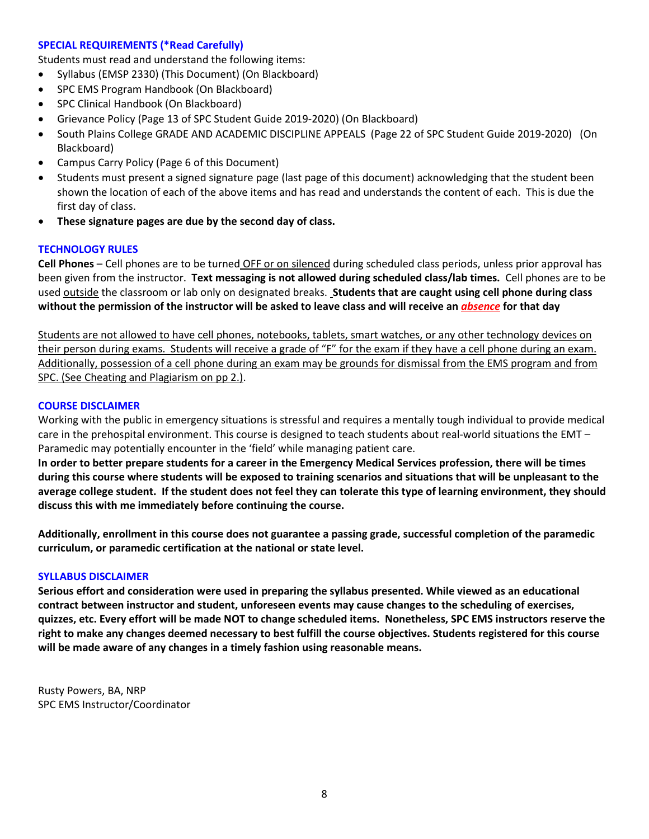#### **SPECIAL REQUIREMENTS (\*Read Carefully)**

Students must read and understand the following items:

- Syllabus (EMSP 2330) (This Document) (On Blackboard)
- SPC EMS Program Handbook (On Blackboard)
- SPC Clinical Handbook (On Blackboard)
- Grievance Policy (Page 13 of SPC Student Guide 2019-2020) (On Blackboard)
- South Plains College GRADE AND ACADEMIC DISCIPLINE APPEALS (Page 22 of SPC Student Guide 2019-2020) (On Blackboard)
- Campus Carry Policy (Page 6 of this Document)
- Students must present a signed signature page (last page of this document) acknowledging that the student been shown the location of each of the above items and has read and understands the content of each. This is due the first day of class.
- **These signature pages are due by the second day of class.**

#### **TECHNOLOGY RULES**

**Cell Phones** – Cell phones are to be turned OFF or on silenced during scheduled class periods, unless prior approval has been given from the instructor. **Text messaging is not allowed during scheduled class/lab times.** Cell phones are to be used outside the classroom or lab only on designated breaks. **Students that are caught using cell phone during class without the permission of the instructor will be asked to leave class and will receive an** *absence* **for that day**

Students are not allowed to have cell phones, notebooks, tablets, smart watches, or any other technology devices on their person during exams. Students will receive a grade of "F" for the exam if they have a cell phone during an exam. Additionally, possession of a cell phone during an exam may be grounds for dismissal from the EMS program and from SPC. (See Cheating and Plagiarism on pp 2.).

#### **COURSE DISCLAIMER**

Working with the public in emergency situations is stressful and requires a mentally tough individual to provide medical care in the prehospital environment. This course is designed to teach students about real-world situations the EMT – Paramedic may potentially encounter in the 'field' while managing patient care.

**In order to better prepare students for a career in the Emergency Medical Services profession, there will be times during this course where students will be exposed to training scenarios and situations that will be unpleasant to the average college student. If the student does not feel they can tolerate this type of learning environment, they should discuss this with me immediately before continuing the course.**

**Additionally, enrollment in this course does not guarantee a passing grade, successful completion of the paramedic curriculum, or paramedic certification at the national or state level.** 

#### **SYLLABUS DISCLAIMER**

**Serious effort and consideration were used in preparing the syllabus presented. While viewed as an educational contract between instructor and student, unforeseen events may cause changes to the scheduling of exercises, quizzes, etc. Every effort will be made NOT to change scheduled items. Nonetheless, SPC EMS instructors reserve the right to make any changes deemed necessary to best fulfill the course objectives. Students registered for this course will be made aware of any changes in a timely fashion using reasonable means.** 

Rusty Powers, BA, NRP SPC EMS Instructor/Coordinator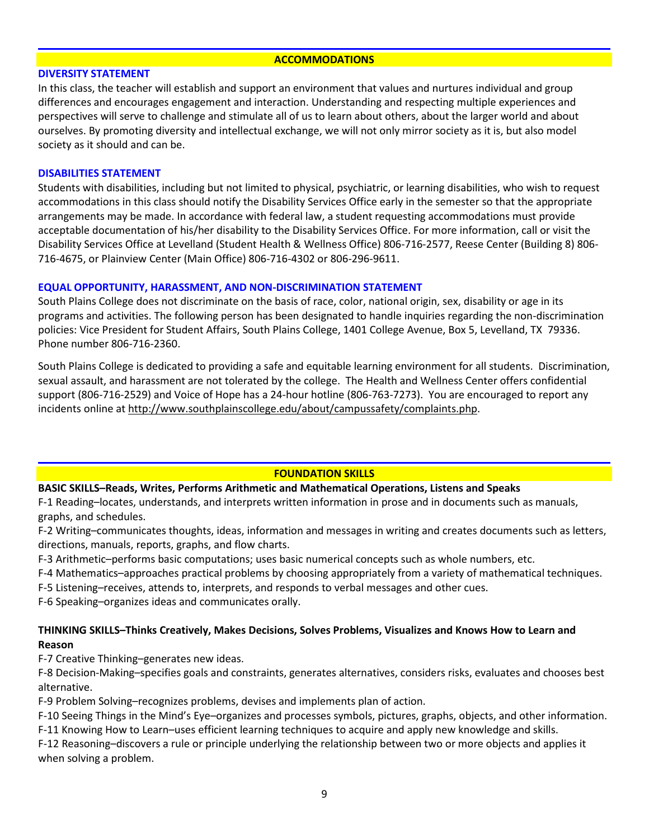#### **ACCOMMODATIONS**

#### **DIVERSITY STATEMENT**

In this class, the teacher will establish and support an environment that values and nurtures individual and group differences and encourages engagement and interaction. Understanding and respecting multiple experiences and perspectives will serve to challenge and stimulate all of us to learn about others, about the larger world and about ourselves. By promoting diversity and intellectual exchange, we will not only mirror society as it is, but also model society as it should and can be.

#### **DISABILITIES STATEMENT**

Students with disabilities, including but not limited to physical, psychiatric, or learning disabilities, who wish to request accommodations in this class should notify the Disability Services Office early in the semester so that the appropriate arrangements may be made. In accordance with federal law, a student requesting accommodations must provide acceptable documentation of his/her disability to the Disability Services Office. For more information, call or visit the Disability Services Office at Levelland (Student Health & Wellness Office) 806-716-2577, Reese Center (Building 8) 806- 716-4675, or Plainview Center (Main Office) 806-716-4302 or 806-296-9611.

#### **EQUAL OPPORTUNITY, HARASSMENT, AND NON-DISCRIMINATION STATEMENT**

South Plains College does not discriminate on the basis of race, color, national origin, sex, disability or age in its programs and activities. The following person has been designated to handle inquiries regarding the non-discrimination policies: Vice President for Student Affairs, South Plains College, 1401 College Avenue, Box 5, Levelland, TX 79336. Phone number 806-716-2360.

South Plains College is dedicated to providing a safe and equitable learning environment for all students. Discrimination, sexual assault, and harassment are not tolerated by the college. The Health and Wellness Center offers confidential support (806-716-2529) and Voice of Hope has a 24-hour hotline (806-763-7273). You are encouraged to report any incidents online at [http://www.southplainscollege.edu/about/campussafety/complaints.php.](http://www.southplainscollege.edu/about/campussafety/complaints.php)

### **FOUNDATION SKILLS**

### **BASIC SKILLS–Reads, Writes, Performs Arithmetic and Mathematical Operations, Listens and Speaks**

F-1 Reading–locates, understands, and interprets written information in prose and in documents such as manuals, graphs, and schedules.

F-2 Writing–communicates thoughts, ideas, information and messages in writing and creates documents such as letters, directions, manuals, reports, graphs, and flow charts.

F-3 Arithmetic–performs basic computations; uses basic numerical concepts such as whole numbers, etc.

- F-4 Mathematics–approaches practical problems by choosing appropriately from a variety of mathematical techniques.
- F-5 Listening–receives, attends to, interprets, and responds to verbal messages and other cues.

F-6 Speaking–organizes ideas and communicates orally.

### **THINKING SKILLS–Thinks Creatively, Makes Decisions, Solves Problems, Visualizes and Knows How to Learn and Reason**

F-7 Creative Thinking–generates new ideas.

F-8 Decision-Making–specifies goals and constraints, generates alternatives, considers risks, evaluates and chooses best alternative.

F-9 Problem Solving–recognizes problems, devises and implements plan of action.

F-10 Seeing Things in the Mind's Eye–organizes and processes symbols, pictures, graphs, objects, and other information.

F-11 Knowing How to Learn–uses efficient learning techniques to acquire and apply new knowledge and skills.

F-12 Reasoning–discovers a rule or principle underlying the relationship between two or more objects and applies it when solving a problem.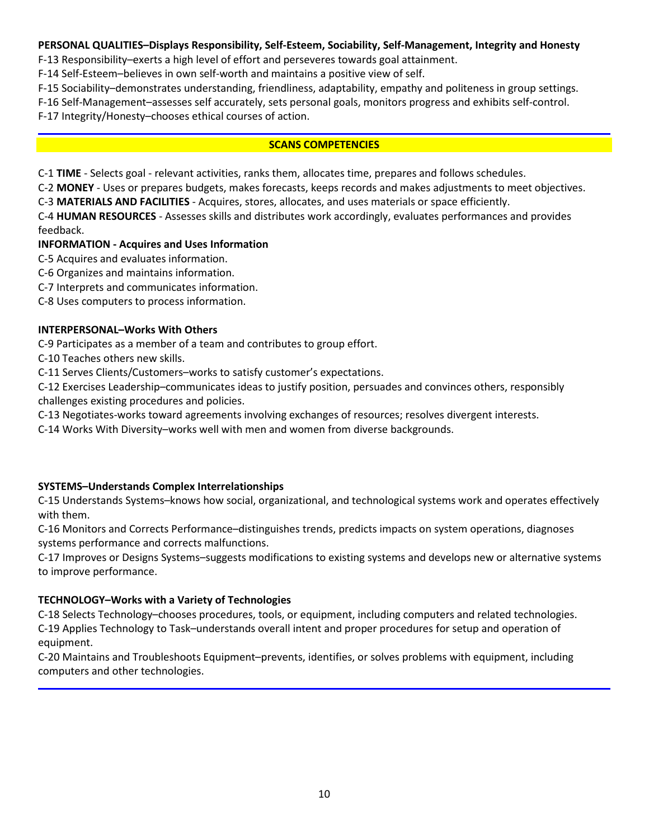### **PERSONAL QUALITIES–Displays Responsibility, Self-Esteem, Sociability, Self-Management, Integrity and Honesty**

F-13 Responsibility–exerts a high level of effort and perseveres towards goal attainment.

F-14 Self-Esteem–believes in own self-worth and maintains a positive view of self.

F-15 Sociability–demonstrates understanding, friendliness, adaptability, empathy and politeness in group settings.

F-16 Self-Management–assesses self accurately, sets personal goals, monitors progress and exhibits self-control.

F-17 Integrity/Honesty–chooses ethical courses of action.

### **SCANS COMPETENCIES**

C-1 **TIME** - Selects goal - relevant activities, ranks them, allocates time, prepares and follows schedules.

C-2 **MONEY** - Uses or prepares budgets, makes forecasts, keeps records and makes adjustments to meet objectives.

C-3 **MATERIALS AND FACILITIES** - Acquires, stores, allocates, and uses materials or space efficiently.

C-4 **HUMAN RESOURCES** - Assesses skills and distributes work accordingly, evaluates performances and provides feedback.

# **INFORMATION - Acquires and Uses Information**

C-5 Acquires and evaluates information.

C-6 Organizes and maintains information.

C-7 Interprets and communicates information.

C-8 Uses computers to process information.

### **INTERPERSONAL–Works With Others**

C-9 Participates as a member of a team and contributes to group effort.

C-10 Teaches others new skills.

C-11 Serves Clients/Customers–works to satisfy customer's expectations.

C-12 Exercises Leadership–communicates ideas to justify position, persuades and convinces others, responsibly challenges existing procedures and policies.

C-13 Negotiates-works toward agreements involving exchanges of resources; resolves divergent interests.

C-14 Works With Diversity–works well with men and women from diverse backgrounds.

# **SYSTEMS–Understands Complex Interrelationships**

C-15 Understands Systems–knows how social, organizational, and technological systems work and operates effectively with them.

C-16 Monitors and Corrects Performance–distinguishes trends, predicts impacts on system operations, diagnoses systems performance and corrects malfunctions.

C-17 Improves or Designs Systems–suggests modifications to existing systems and develops new or alternative systems to improve performance.

# **TECHNOLOGY–Works with a Variety of Technologies**

C-18 Selects Technology–chooses procedures, tools, or equipment, including computers and related technologies. C-19 Applies Technology to Task–understands overall intent and proper procedures for setup and operation of equipment.

C-20 Maintains and Troubleshoots Equipment–prevents, identifies, or solves problems with equipment, including computers and other technologies.